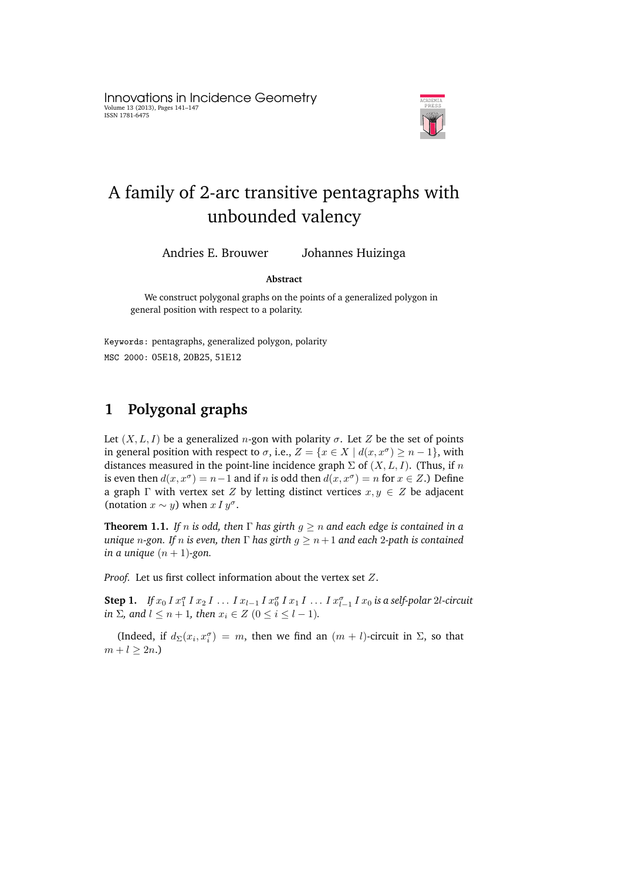Innovations in Incidence Geometry Volume 13 (2013), Pages 141–147 ISSN 1781-6475



# A family of 2-arc transitive pentagraphs with unbounded valency

Andries E. Brouwer Johannes Huizinga

#### **Abstract**

We construct polygonal graphs on the points of a generalized polygon in general position with respect to a polarity.

Keywords: pentagraphs, generalized polygon, polarity MSC 2000: 05E18, 20B25, 51E12

# **1 Polygonal graphs**

Let  $(X, L, I)$  be a generalized *n*-gon with polarity  $\sigma$ . Let Z be the set of points in general position with respect to  $\sigma$ , i.e.,  $Z = \{x \in X \mid d(x, x^{\sigma}) \geq n - 1\}$ , with distances measured in the point-line incidence graph  $\Sigma$  of  $(X, L, I)$ . (Thus, if n is even then  $d(x, x^{\sigma}) = n-1$  and if n is odd then  $d(x, x^{\sigma}) = n$  for  $x \in Z$ .) Define a graph  $\Gamma$  with vertex set Z by letting distinct vertices  $x, y \in Z$  be adjacent (notation  $x \sim y$ ) when  $x I y^{\sigma}$ .

**Theorem 1.1.** *If n is odd, then*  $\Gamma$  *has girth*  $g \ge n$  *and each edge is contained in a unique n*-gon. If *n is even, then*  $\Gamma$  *has girth*  $g \ge n+1$  *and each* 2-path *is contained in a unique*  $(n + 1)$ -gon.

*Proof.* Let us first collect information about the vertex set Z.

**Step 1.** If  $x_0 I x_1^{\sigma} I x_2 I ... I x_{l-1} I x_0^{\sigma} I x_1 I ... I x_{l-1}^{\sigma} I x_0$  is a self-polar 2l-circuit *in*  $\Sigma$ *, and*  $l \leq n+1$ *, then*  $x_i \in Z$  ( $0 \leq i \leq l-1$ )*.* 

(Indeed, if  $d_{\Sigma}(x_i, x_i^{\sigma}) = m$ , then we find an  $(m + l)$ -circuit in  $\Sigma$ , so that  $m + l > 2n$ .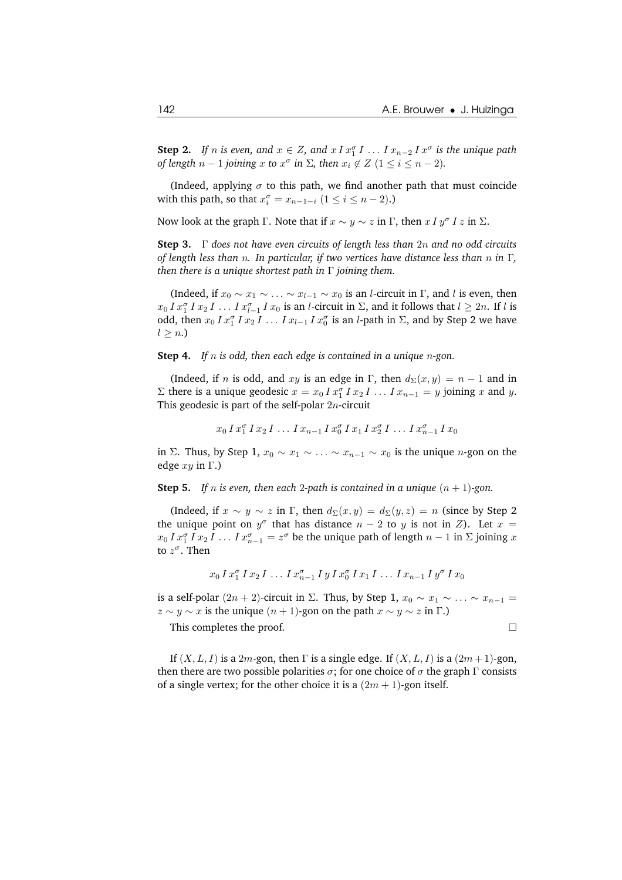**Step 2.** If *n* is even, and  $x \in Z$ , and  $x \, I \, x_1^{\sigma} \, I \, \ldots \, I \, x_{n-2} \, I \, x^{\sigma}$  is the unique path *of length*  $n-1$  *joining*  $x$  *to*  $x^{\sigma}$  *in*  $\Sigma$ *, then*  $x_i \notin Z$  ( $1 \leq i \leq n-2$ )*.* 

(Indeed, applying  $\sigma$  to this path, we find another path that must coincide with this path, so that  $x_i^{\sigma} = x_{n-1-i}$   $(1 \le i \le n-2)$ .)

Now look at the graph  $\Gamma$ . Note that if  $x \sim y \sim z$  in  $\Gamma$ , then  $x \, I \, y^{\sigma} \, I \, z$  in  $\Sigma$ .

**Step 3.** Γ *does not have even circuits of length less than* 2n *and no odd circuits of length less than* n*. In particular, if two vertices have distance less than* n *in* Γ*, then there is a unique shortest path in* Γ *joining them.*

(Indeed, if  $x_0 \sim x_1 \sim \ldots \sim x_{l-1} \sim x_0$  is an *l*-circuit in Γ, and *l* is even, then  $x_0 I x_1^{\sigma} I x_2 I \dots I x_{l-1}^{\sigma} I x_0$  is an *l*-circuit in  $\Sigma$ , and it follows that  $l \geq 2n$ . If *l* is odd, then  $x_0 I x_1^{\sigma} I x_2 I \ldots I x_{l-1} I x_0^{\sigma}$  is an *l*-path in  $\Sigma$ , and by Step 2 we have  $l \geq n$ .

**Step 4.** *If* n *is odd, then each edge is contained in a unique* n*-gon.*

(Indeed, if n is odd, and xy is an edge in Γ, then  $d_{\Sigma}(x, y) = n - 1$  and in Σ there is a unique geodesic  $x = x_0 I x_1^{\sigma} I x_2 I$  ...  $I x_{n-1} = y$  joining x and y. This geodesic is part of the self-polar  $2n$ -circuit

$$
x_0 \, I \, x_1^{\sigma} \, I \, x_2 \, I \, \dots \, I \, x_{n-1} \, I \, x_0^{\sigma} \, I \, x_1 \, I \, x_2^{\sigma} \, I \, \dots \, I \, x_{n-1}^{\sigma} \, I \, x_0
$$

in Σ. Thus, by Step 1,  $x_0 \sim x_1 \sim \ldots \sim x_{n-1} \sim x_0$  is the unique *n*-gon on the edge  $xy$  in  $\Gamma$ .)

**Step 5.** *If n is even, then each 2-path is contained in a unique*  $(n + 1)$ -gon.

(Indeed, if  $x \sim y \sim z$  in  $\Gamma$ , then  $d_{\Sigma}(x, y) = d_{\Sigma}(y, z) = n$  (since by Step 2) the unique point on  $y^{\sigma}$  that has distance  $n-2$  to y is not in Z). Let  $x =$  $x_0 I x_1^{\sigma} I x_2 I \dots I x_{n-1}^{\sigma} = z^{\sigma}$  be the unique path of length  $n-1$  in  $\Sigma$  joining x to  $z^{\sigma}$ . Then

$$
x_0 I x_1^{\sigma} I x_2 I \ldots I x_{n-1}^{\sigma} I y I x_0^{\sigma} I x_1 I \ldots I x_{n-1} I y^{\sigma} I x_0
$$

is a self-polar  $(2n + 2)$ -circuit in  $\Sigma$ . Thus, by Step 1,  $x_0 \sim x_1 \sim \ldots \sim x_{n-1}$  $z \sim y \sim x$  is the unique  $(n + 1)$ -gon on the path  $x \sim y \sim z$  in  $\Gamma$ .)

This completes the proof.

If  $(X, L, I)$  is a 2m-gon, then  $\Gamma$  is a single edge. If  $(X, L, I)$  is a  $(2m + 1)$ -gon, then there are two possible polarities  $\sigma$ ; for one choice of  $\sigma$  the graph  $\Gamma$  consists of a single vertex; for the other choice it is a  $(2m + 1)$ -gon itself.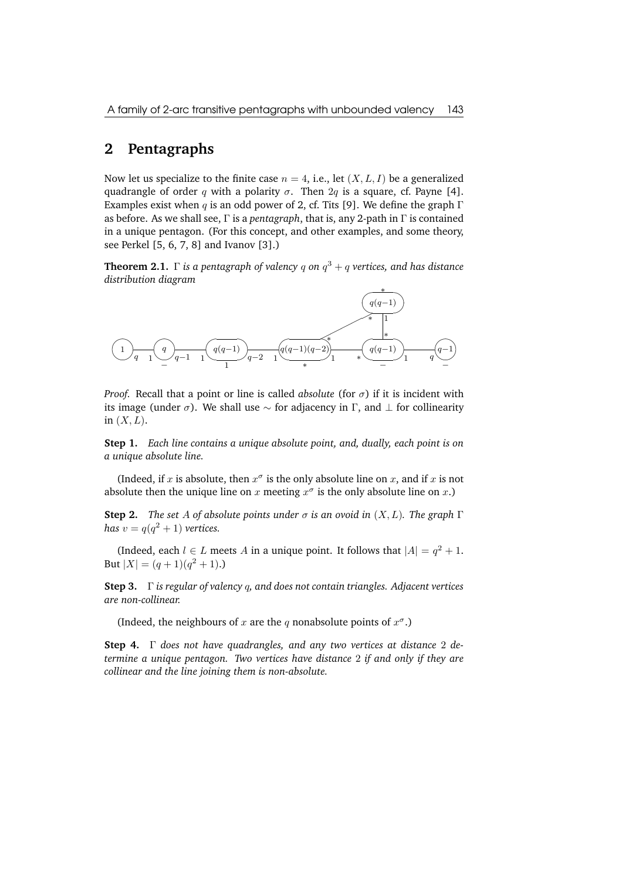### **2 Pentagraphs**

Now let us specialize to the finite case  $n = 4$ , i.e., let  $(X, L, I)$  be a generalized quadrangle of order q with a polarity  $\sigma$ . Then  $2q$  is a square, cf. Payne [4]. Examples exist when q is an odd power of 2, cf. Tits [9]. We define the graph  $\Gamma$ as before. As we shall see, Γ is a *pentagraph*, that is, any 2-path in Γ is contained in a unique pentagon. (For this concept, and other examples, and some theory, see Perkel [5, 6, 7, 8] and Ivanov [3].)

**Theorem 2.1.**  $\Gamma$  *is a pentagraph of valency q on*  $q^3 + q$  *vertices, and has distance distribution diagram*



*Proof.* Recall that a point or line is called *absolute* (for  $\sigma$ ) if it is incident with its image (under  $\sigma$ ). We shall use  $\sim$  for adjacency in Γ, and  $\perp$  for collinearity in  $(X, L)$ .

**Step 1.** *Each line contains a unique absolute point, and, dually, each point is on a unique absolute line.*

(Indeed, if x is absolute, then  $x^{\sigma}$  is the only absolute line on x, and if x is not absolute then the unique line on x meeting  $x^{\sigma}$  is the only absolute line on x.)

**Step 2.** *The set A of absolute points under*  $\sigma$  *is an ovoid in*  $(X, L)$ *. The graph*  $\Gamma$ *has*  $v = q(q^2 + 1)$  *vertices.* 

(Indeed, each  $l \in L$  meets A in a unique point. It follows that  $|A| = q^2 + 1$ . But  $|X| = (q+1)(q^2+1)$ .

**Step 3.** Γ *is regular of valency* q*, and does not contain triangles. Adjacent vertices are non-collinear.*

(Indeed, the neighbours of x are the q nonabsolute points of  $x^{\sigma}$ .)

**Step 4.** Γ *does not have quadrangles, and any two vertices at distance* 2 *determine a unique pentagon. Two vertices have distance* 2 *if and only if they are collinear and the line joining them is non-absolute.*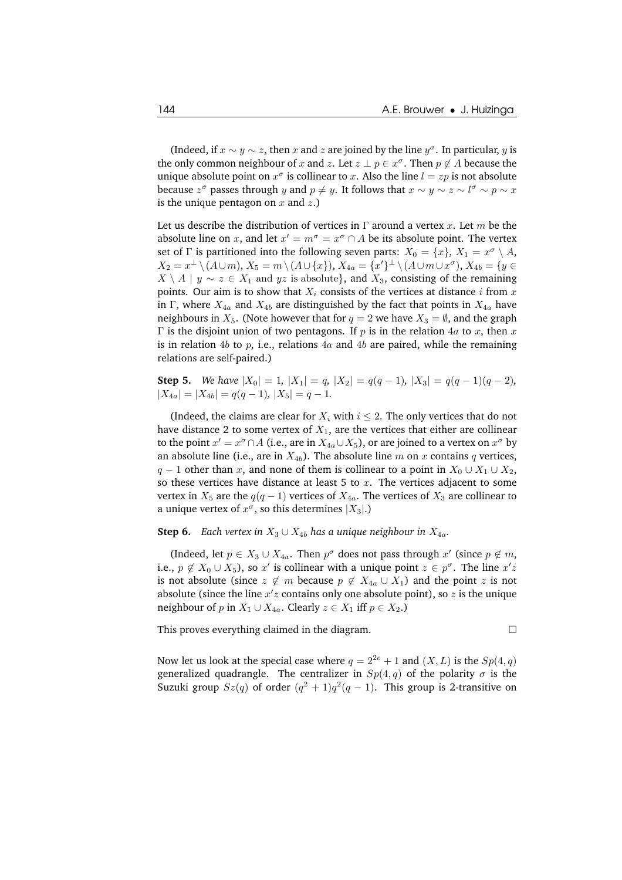(Indeed, if  $x \sim y \sim z$ , then x and z are joined by the line  $y^{\sigma}$ . In particular, y is the only common neighbour of x and z. Let  $z \perp p \in x^{\sigma}$ . Then  $p \notin A$  because the unique absolute point on  $x^{\sigma}$  is collinear to x. Also the line  $l = zp$  is not absolute because  $z^{\sigma}$  passes through y and  $p \neq y$ . It follows that  $x \sim y \sim z \sim l^{\sigma} \sim p \sim x$ is the unique pentagon on  $x$  and  $z$ .)

Let us describe the distribution of vertices in Γ around a vertex x. Let m be the absolute line on x, and let  $x' = m^{\sigma} = x^{\sigma} \cap A$  be its absolute point. The vertex set of  $\Gamma$  is partitioned into the following seven parts:  $X_0 = \{x\}, X_1 = x^{\sigma} \setminus A$ ,  $X_2 = x^{\perp} \setminus (A \cup m), X_5 = m \setminus (A \cup \{x\}), X_{4a} = \{x'\}^{\perp} \setminus (A \cup m \cup x^{\sigma}), X_{4b} = \{y \in$  $X \setminus A \mid y \sim z \in X_1$  and  $yz$  is absolute}, and  $X_3$ , consisting of the remaining points. Our aim is to show that  $X_i$  consists of the vertices at distance i from x in Γ, where  $X_{4a}$  and  $X_{4b}$  are distinguished by the fact that points in  $X_{4a}$  have neighbours in  $X_5$ . (Note however that for  $q = 2$  we have  $X_3 = \emptyset$ , and the graph  $Γ$  is the disjoint union of two pentagons. If *p* is in the relation 4*a* to *x*, then *x* is in relation 4b to p, i.e., relations  $4a$  and  $4b$  are paired, while the remaining relations are self-paired.)

**Step 5.** *We have*  $|X_0| = 1$ ,  $|X_1| = q$ ,  $|X_2| = q(q-1)$ ,  $|X_3| = q(q-1)(q-2)$ ,  $|X_{4a}| = |X_{4b}| = q(q-1), |X_5| = q-1.$ 

(Indeed, the claims are clear for  $X_i$  with  $i \leq 2$ . The only vertices that do not have distance 2 to some vertex of  $X_1$ , are the vertices that either are collinear to the point  $x' = x^{\sigma} \cap A$  (i.e., are in  $X_{4a} \cup X_5$ ), or are joined to a vertex on  $x^{\sigma}$  by an absolute line (i.e., are in  $X_{4b}$ ). The absolute line m on x contains q vertices,  $q - 1$  other than x, and none of them is collinear to a point in  $X_0 \cup X_1 \cup X_2$ , so these vertices have distance at least 5 to  $x$ . The vertices adjacent to some vertex in  $X_5$  are the  $q(q-1)$  vertices of  $X_{4a}$ . The vertices of  $X_3$  are collinear to a unique vertex of  $x^{\sigma}$ , so this determines  $|X_3|$ .)

**Step 6.** *Each vertex in*  $X_3 \cup X_{4b}$  *has a unique neighbour in*  $X_{4a}$ *.* 

(Indeed, let  $p \in X_3 \cup X_{4a}$ . Then  $p^{\sigma}$  does not pass through  $x'$  (since  $p \notin m$ , i.e.,  $p \notin X_0 \cup X_5$ ), so  $x'$  is collinear with a unique point  $z \in p^{\sigma}$ . The line  $x'z$ is not absolute (since  $z \notin m$  because  $p \notin X_{4a} \cup X_1$ ) and the point z is not absolute (since the line  $x'z$  contains only one absolute point), so  $\overline{z}$  is the unique neighbour of p in  $X_1 \cup X_{4a}$ . Clearly  $z \in X_1$  iff  $p \in X_2$ .)

This proves everything claimed in the diagram.

$$
\Box
$$

Now let us look at the special case where  $q = 2^{2e} + 1$  and  $(X, L)$  is the  $Sp(4, q)$ generalized quadrangle. The centralizer in  $Sp(4,q)$  of the polarity  $\sigma$  is the Suzuki group  $Sz(q)$  of order  $(q^2 + 1)q^2(q - 1)$ . This group is 2-transitive on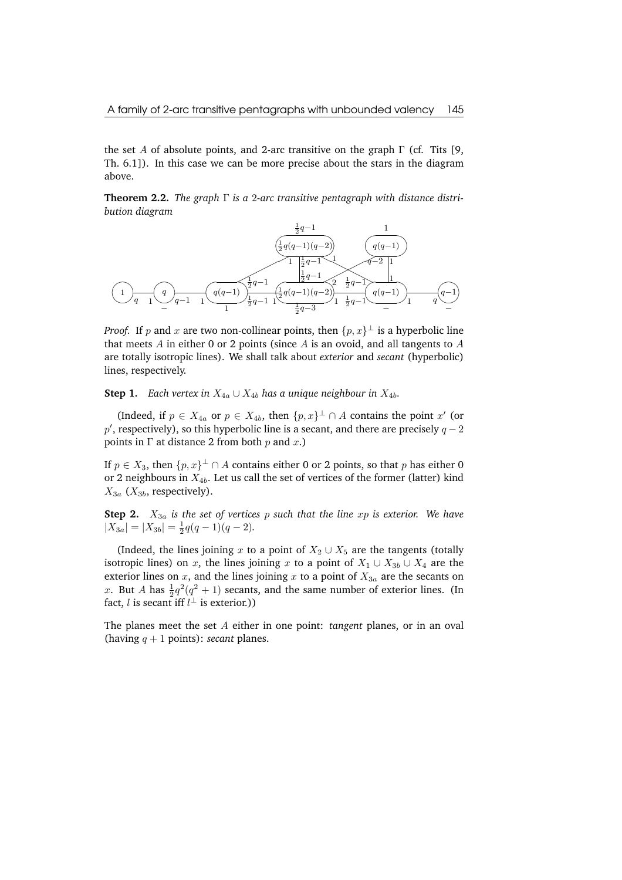the set A of absolute points, and 2-arc transitive on the graph  $\Gamma$  (cf. Tits [9, Th. 6.1]). In this case we can be more precise about the stars in the diagram above.

**Theorem 2.2.** *The graph* Γ *is a* 2*-arc transitive pentagraph with distance distribution diagram*



*Proof.* If p and x are two non-collinear points, then  $\{p, x\}^{\perp}$  is a hyperbolic line that meets  $A$  in either 0 or 2 points (since  $A$  is an ovoid, and all tangents to  $A$ are totally isotropic lines). We shall talk about *exterior* and *secant* (hyperbolic) lines, respectively.

**Step 1.** *Each vertex in*  $X_{4a} \cup X_{4b}$  *has a unique neighbour in*  $X_{4b}$ *.* 

(Indeed, if  $p \in X_{4a}$  or  $p \in X_{4b}$ , then  $\{p, x\}^{\perp} \cap A$  contains the point  $x'$  (or  $p'$ , respectively), so this hyperbolic line is a secant, and there are precisely  $q-2$ points in  $\Gamma$  at distance 2 from both p and x.)

If  $p \in X_3$ , then  $\{p, x\}^{\perp} \cap A$  contains either 0 or 2 points, so that p has either 0 or 2 neighbours in  $X_{4b}$ . Let us call the set of vertices of the former (latter) kind  $X_{3a}$  ( $X_{3b}$ , respectively).

**Step 2.**  $X_{3a}$  *is the set of vertices p such that the line xp is exterior. We have*  $|X_{3a}| = |X_{3b}| = \frac{1}{2}q(q-1)(q-2).$ 

(Indeed, the lines joining x to a point of  $X_2 \cup X_5$  are the tangents (totally isotropic lines) on x, the lines joining x to a point of  $X_1 \cup X_{3b} \cup X_4$  are the exterior lines on  $x$ , and the lines joining  $x$  to a point of  $X_{3a}$  are the secants on x. But A has  $\frac{1}{2}q^2(q^2+1)$  secants, and the same number of exterior lines. (In fact, *l* is secant iff  $l^{\perp}$  is exterior.))

The planes meet the set A either in one point: *tangent* planes, or in an oval (having  $q + 1$  points): *secant* planes.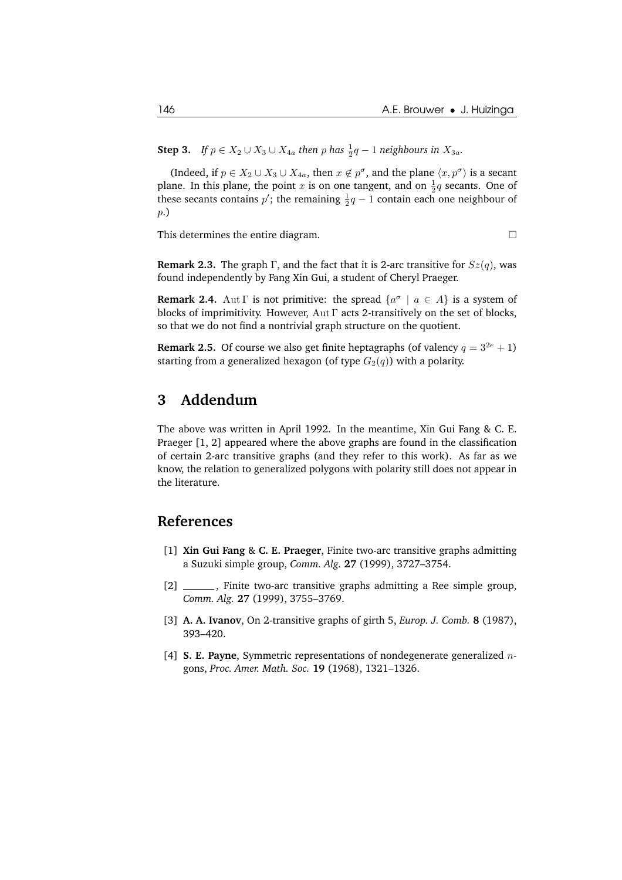**Step 3.** *If*  $p \in X_2 \cup X_3 \cup X_{4a}$  *then*  $p$  *has*  $\frac{1}{2}q - 1$  *neighbours in*  $X_{3a}$ *.* 

(Indeed, if  $p \in X_2 \cup X_3 \cup X_{4a}$ , then  $x \notin p^{\sigma}$ , and the plane  $\langle x, p^{\sigma} \rangle$  is a secant plane. In this plane, the point x is on one tangent, and on  $\frac{1}{2}q$  secants. One of these secants contains  $p'$ ; the remaining  $\frac{1}{2}q-1$  contain each one neighbour of p.)

This determines the entire diagram.

**Remark 2.3.** The graph Γ, and the fact that it is 2-arc transitive for  $Sz(q)$ , was found independently by Fang Xin Gui, a student of Cheryl Praeger.

**Remark 2.4.** Aut  $\Gamma$  is not primitive: the spread  $\{a^{\sigma} \mid a \in A\}$  is a system of blocks of imprimitivity. However,  $\text{Aut } \Gamma$  acts 2-transitively on the set of blocks, so that we do not find a nontrivial graph structure on the quotient.

**Remark 2.5.** Of course we also get finite heptagraphs (of valency  $q = 3^{2e} + 1$ ) starting from a generalized hexagon (of type  $G_2(q)$ ) with a polarity.

## **3 Addendum**

The above was written in April 1992. In the meantime, Xin Gui Fang & C. E. Praeger [1, 2] appeared where the above graphs are found in the classification of certain 2-arc transitive graphs (and they refer to this work). As far as we know, the relation to generalized polygons with polarity still does not appear in the literature.

#### **References**

- [1] **Xin Gui Fang** & **C. E. Praeger**, Finite two-arc transitive graphs admitting a Suzuki simple group, *Comm. Alg.* **27** (1999), 3727–3754.
- [2] \_\_\_\_\_\_, Finite two-arc transitive graphs admitting a Ree simple group, *Comm. Alg.* **27** (1999), 3755–3769.
- [3] **A. A. Ivanov**, On 2-transitive graphs of girth 5, *Europ. J. Comb.* **8** (1987), 393–420.
- [4] **S. E. Payne**, Symmetric representations of nondegenerate generalized ngons, *Proc. Amer. Math. Soc.* **19** (1968), 1321–1326.